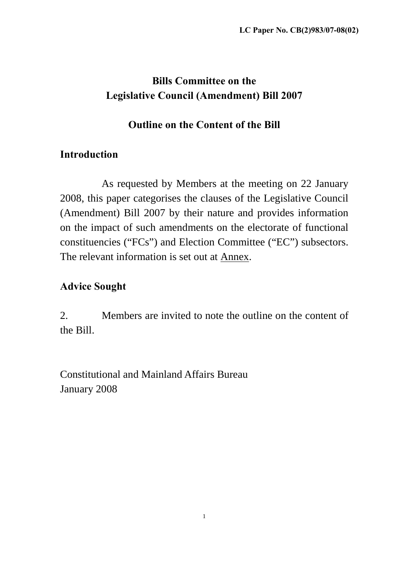# **Bills Committee on the Legislative Council (Amendment) Bill 2007**

### **Outline on the Content of the Bill**

## **Introduction**

 As requested by Members at the meeting on 22 January 2008, this paper categorises the clauses of the Legislative Council (Amendment) Bill 2007 by their nature and provides information on the impact of such amendments on the electorate of functional constituencies ("FCs") and Election Committee ("EC") subsectors. The relevant information is set out at **Annex**.

## **Advice Sought**

2. Members are invited to note the outline on the content of the Bill.

Constitutional and Mainland Affairs Bureau January 2008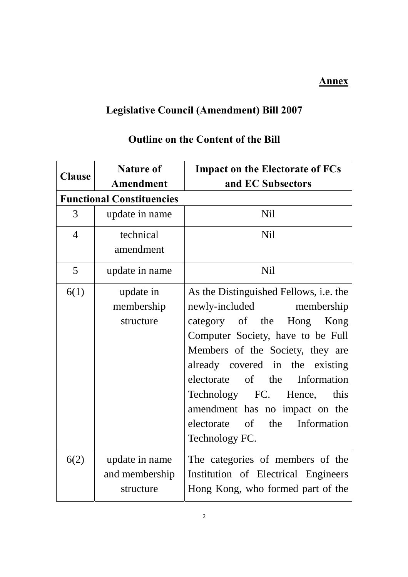### **Annex**

# **Legislative Council (Amendment) Bill 2007**

| <b>Clause</b>  | <b>Nature of</b>                              | <b>Impact on the Electorate of FCs</b>                                                                                                                                                                                                                                                                                                                                       |  |
|----------------|-----------------------------------------------|------------------------------------------------------------------------------------------------------------------------------------------------------------------------------------------------------------------------------------------------------------------------------------------------------------------------------------------------------------------------------|--|
|                | <b>Amendment</b>                              | and EC Subsectors                                                                                                                                                                                                                                                                                                                                                            |  |
|                | <b>Functional Constituencies</b>              |                                                                                                                                                                                                                                                                                                                                                                              |  |
| 3              | update in name                                | <b>Nil</b>                                                                                                                                                                                                                                                                                                                                                                   |  |
| $\overline{4}$ | technical<br>amendment                        | <b>Nil</b>                                                                                                                                                                                                                                                                                                                                                                   |  |
| 5              | update in name                                | Nil                                                                                                                                                                                                                                                                                                                                                                          |  |
| 6(1)           | update in<br>membership<br>structure          | As the Distinguished Fellows, i.e. the<br>newly-included membership<br>category of the Hong Kong<br>Computer Society, have to be Full<br>Members of the Society, they are<br>already covered in the existing<br>of the Information<br>electorate<br>Technology FC. Hence,<br>this<br>amendment has no impact on the<br>Information<br>electorate of<br>the<br>Technology FC. |  |
| 6(2)           | update in name<br>and membership<br>structure | The categories of members of the<br>Institution of Electrical Engineers<br>Hong Kong, who formed part of the                                                                                                                                                                                                                                                                 |  |

## **Outline on the Content of the Bill**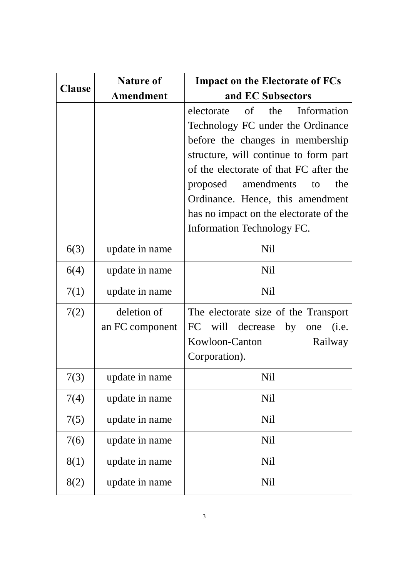| <b>Clause</b> | <b>Nature of</b> | <b>Impact on the Electorate of FCs</b> |
|---------------|------------------|----------------------------------------|
|               | <b>Amendment</b> | and EC Subsectors                      |
|               |                  | Information<br>electorate of<br>the    |
|               |                  | Technology FC under the Ordinance      |
|               |                  | before the changes in membership       |
|               |                  | structure, will continue to form part  |
|               |                  | of the electorate of that FC after the |
|               |                  | amendments<br>proposed<br>the<br>to    |
|               |                  | Ordinance. Hence, this amendment       |
|               |                  | has no impact on the electorate of the |
|               |                  | Information Technology FC.             |
| 6(3)          | update in name   | Nil                                    |
| 6(4)          | update in name   | <b>Nil</b>                             |
| 7(1)          | update in name   | Nil                                    |
| 7(2)          | deletion of      | The electorate size of the Transport   |
|               | an FC component  | will decrease by<br>FC<br>(i.e.<br>one |
|               |                  | Kowloon-Canton<br>Railway              |
|               |                  | Corporation).                          |
| 7(3)          | update in name   | Nil                                    |
| 7(4)          | update in name   | Nil                                    |
| 7(5)          | update in name   | Nil                                    |
| 7(6)          | update in name   | Nil                                    |
| 8(1)          | update in name   | Nil                                    |
| 8(2)          | update in name   | Nil                                    |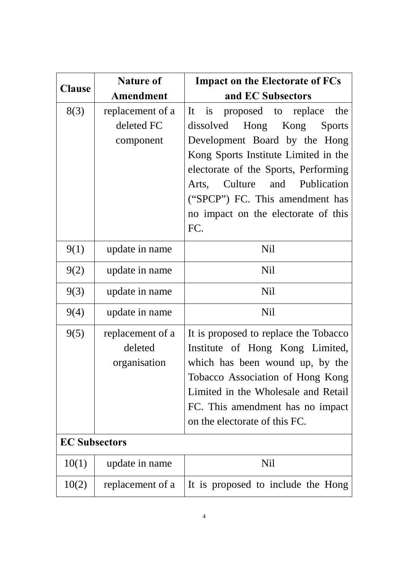| <b>Clause</b>        | <b>Nature of</b>                            | <b>Impact on the Electorate of FCs</b>                                                                                                                                                                                                                      |  |
|----------------------|---------------------------------------------|-------------------------------------------------------------------------------------------------------------------------------------------------------------------------------------------------------------------------------------------------------------|--|
|                      | <b>Amendment</b>                            | and EC Subsectors                                                                                                                                                                                                                                           |  |
| 8(3)                 | replacement of a<br>deleted FC<br>component | is<br>proposed to replace<br>It<br>the<br>Hong<br>dissolved<br>Kong<br><b>Sports</b><br>Development Board by the Hong<br>Kong Sports Institute Limited in the<br>electorate of the Sports, Performing                                                       |  |
|                      |                                             | Culture and Publication<br>Arts,<br>("SPCP") FC. This amendment has<br>no impact on the electorate of this<br>FC.                                                                                                                                           |  |
| 9(1)                 | update in name                              | Nil                                                                                                                                                                                                                                                         |  |
| 9(2)                 | update in name                              | <b>Nil</b>                                                                                                                                                                                                                                                  |  |
| 9(3)                 | update in name                              | <b>Nil</b>                                                                                                                                                                                                                                                  |  |
| 9(4)                 | update in name                              | <b>Nil</b>                                                                                                                                                                                                                                                  |  |
| 9(5)                 | replacement of a<br>deleted<br>organisation | It is proposed to replace the Tobacco<br>Institute of Hong Kong Limited,<br>which has been wound up, by the<br>Tobacco Association of Hong Kong<br>Limited in the Wholesale and Retail<br>FC. This amendment has no impact<br>on the electorate of this FC. |  |
| <b>EC Subsectors</b> |                                             |                                                                                                                                                                                                                                                             |  |
| 10(1)                | update in name                              | Nil                                                                                                                                                                                                                                                         |  |
| 10(2)                | replacement of a                            | It is proposed to include the Hong                                                                                                                                                                                                                          |  |